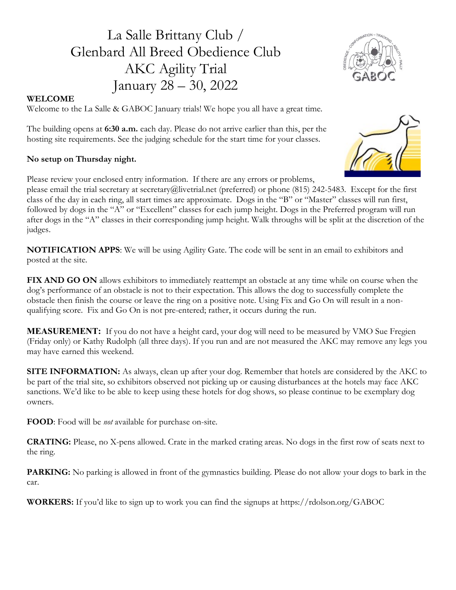# La Salle Brittany Club / Glenbard All Breed Obedience Club AKC Agility Trial January 28 – 30, 2022



### WELCOME

Welcome to the La Salle & GABOC January trials! We hope you all have a great time.

The building opens at 6:30 a.m. each day. Please do not arrive earlier than this, per the hosting site requirements. See the judging schedule for the start time for your classes.

### No setup on Thursday night.

Please review your enclosed entry information. If there are any errors or problems,

please email the trial secretary at secretary@livetrial.net (preferred) or phone (815) 242-5483. Except for the first class of the day in each ring, all start times are approximate. Dogs in the "B" or "Master" classes will run first, followed by dogs in the "A" or "Excellent" classes for each jump height. Dogs in the Preferred program will run after dogs in the "A" classes in their corresponding jump height. Walk throughs will be split at the discretion of the judges.

NOTIFICATION APPS: We will be using Agility Gate. The code will be sent in an email to exhibitors and posted at the site.

FIX AND GO ON allows exhibitors to immediately reattempt an obstacle at any time while on course when the dog's performance of an obstacle is not to their expectation. This allows the dog to successfully complete the obstacle then finish the course or leave the ring on a positive note. Using Fix and Go On will result in a nonqualifying score. Fix and Go On is not pre-entered; rather, it occurs during the run.

MEASUREMENT: If you do not have a height card, your dog will need to be measured by VMO Sue Fregien (Friday only) or Kathy Rudolph (all three days). If you run and are not measured the AKC may remove any legs you may have earned this weekend.

SITE INFORMATION: As always, clean up after your dog. Remember that hotels are considered by the AKC to be part of the trial site, so exhibitors observed not picking up or causing disturbances at the hotels may face AKC sanctions. We'd like to be able to keep using these hotels for dog shows, so please continue to be exemplary dog owners.

FOOD: Food will be *not* available for purchase on-site.

CRATING: Please, no X-pens allowed. Crate in the marked crating areas. No dogs in the first row of seats next to the ring.

PARKING: No parking is allowed in front of the gymnastics building. Please do not allow your dogs to bark in the car.

WORKERS: If you'd like to sign up to work you can find the signups at https://rdolson.org/GABOC

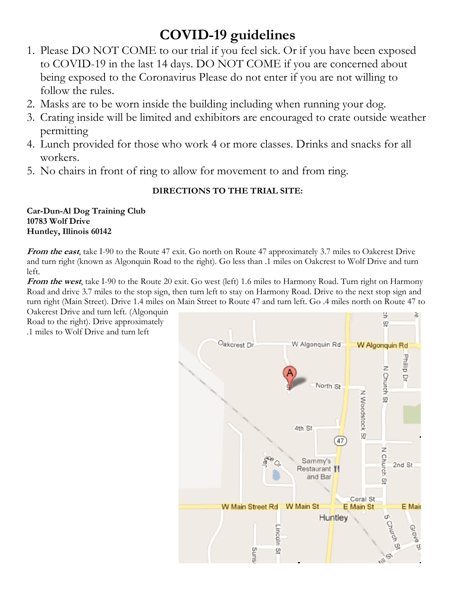# COVID-19 guidelines

- 1. Please DO NOT COME to our trial if you feel sick. Or if you have been exposed to COVID-19 in the last 14 days. DO NOT COME if you are concerned about being exposed to the Coronavirus Please do not enter if you are not willing to follow the rules.
- 2. Masks are to be worn inside the building including when running your dog.
- 3. Crating inside will be limited and exhibitors are encouraged to crate outside weather permitting
- 4. Lunch provided for those who work 4 or more classes. Drinks and snacks for all workers.
- 5. No chairs in front of ring to allow for movement to and from ring.

## DIRECTIONS TO THE TRIAL SITE:

### Car-Dun-Al Dog Training Club 10783 Wolf Drive Huntley, Illinois 60142

From the east, take I-90 to the Route 47 exit. Go north on Route 47 approximately 3.7 miles to Oakcrest Drive and turn right (known as Algonquin Road to the right). Go less than .1 miles on Oakcrest to Wolf Drive and turn left.

**From the west,** take I-90 to the Route 20 exit. Go west (left) 1.6 miles to Harmony Road. Turn right on Harmony Road and drive 3.7 miles to the stop sign, then turn left to stay on Harmony Road. Drive to the next stop sign and turn right (Main Street). Drive 1.4 miles on Main Street to Route 47 and turn left. Go .4 miles north on Route 47 to

Oakcrest Drive and turn left. (Algonquin Road to the right). Drive approximately .1 miles to Wolf Drive and turn left

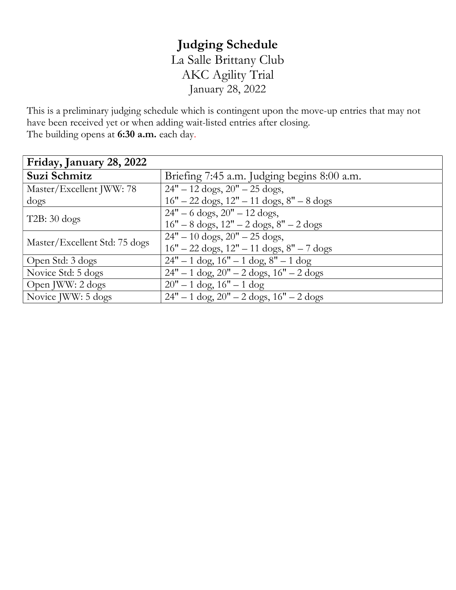# Judging Schedule La Salle Brittany Club AKC Agility Trial January 28, 2022

This is a preliminary judging schedule which is contingent upon the move-up entries that may not have been received yet or when adding wait-listed entries after closing. The building opens at 6:30 a.m. each day.

| Friday, January 28, 2022      |                                                                     |
|-------------------------------|---------------------------------------------------------------------|
| Suzi Schmitz                  | Briefing 7:45 a.m. Judging begins 8:00 a.m.                         |
| Master/Excellent JWW: 78      | $24" - 12 \text{ dogs}, 20" - 25 \text{ dogs},$                     |
| dogs                          | $16" - 22$ dogs, $12" - 11$ dogs, $8" - 8$ dogs                     |
| $T2B: 30 \text{ dogs}$        | $24" - 6$ dogs, $20" - 12$ dogs,                                    |
|                               | $16" - 8$ dogs, $12" - 2$ dogs, $8" - 2$ dogs                       |
| Master/Excellent Std: 75 dogs | $24" - 10$ dogs, $20" - 25$ dogs,                                   |
|                               | $16" - 22 \text{ dogs}, 12" - 11 \text{ dogs}, 8" - 7 \text{ dogs}$ |
| Open Std: 3 dogs              | $24" - 1$ dog, $16" - 1$ dog, $8" - 1$ dog                          |
| Novice Std: 5 dogs            | $24" - 1$ dog, $20" - 2$ dogs, $16" - 2$ dogs                       |
| Open JWW: 2 dogs              | $20" - 1$ dog, $16" - 1$ dog                                        |
| Novice JWW: 5 dogs            | $24" - 1$ dog, $20" - 2$ dogs, $16" - 2$ dogs                       |